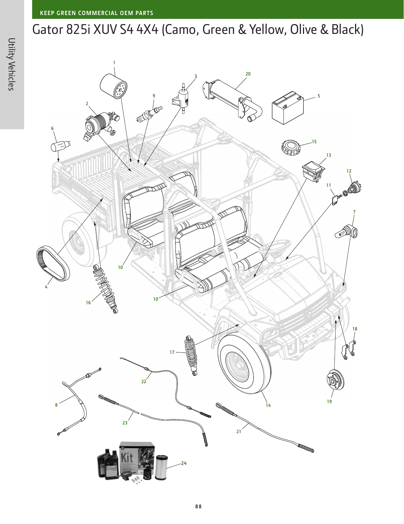## Gator 825i XUV S4 4X4 (Camo, Green & Yellow, Olive & Black)